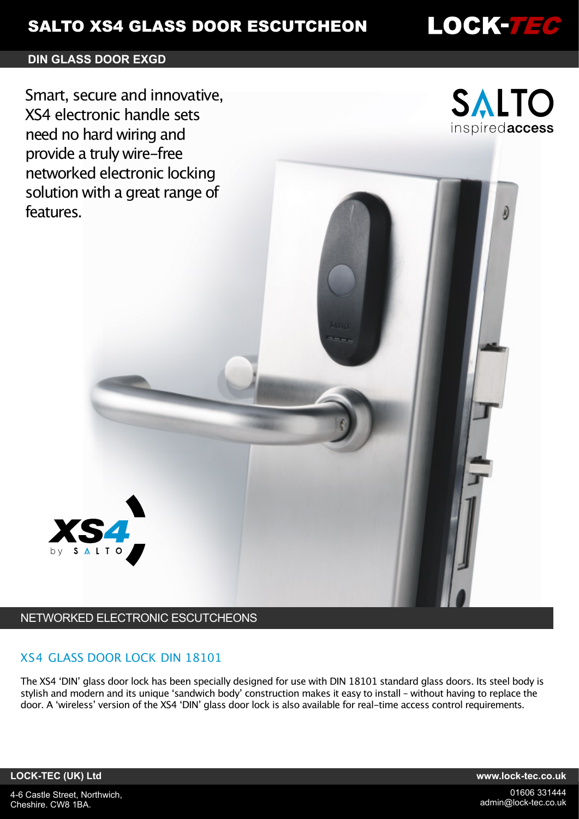# **SALTO XS4 GLASS DOOR ESCUTCHEON**

# **DIN GLASS DOOR EXGD**

Smart, secure and innovative, XS4 electronic handle sets need no hard wiring and provide a truly wire-free networked electronic locking solution with a great range of features.



LOCK-7EC

# NETWORKED ELECTRONIC ESCUTCHEONS

## XS4 GLASS DOOR LOCK DIN 18101

The XS4 ʻDIN' glass door lock has been specially designed for use with DIN 18101 standard glass doors. Its steel body is stylish and modern and its unique ʻsandwich body' construction makes it easy to install – without having to replace the door. A ʻwireless' version of the XS4 ʻDIN' glass door lock is also available for real-time access control requirements.

**LOCK-TEC (UK) Ltd www.lock-tec.co.uk**

4-6 Castle Street, Northwich, Cheshire. CW8 1BA.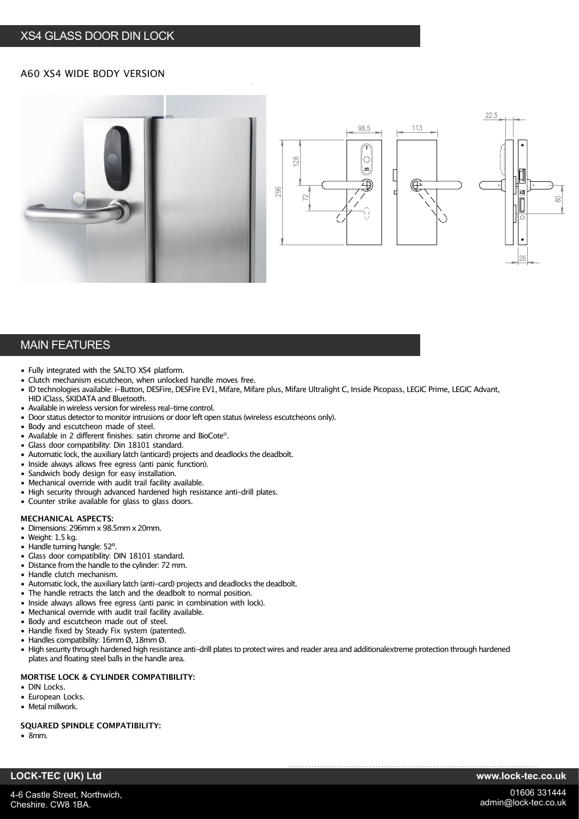## XS4 GLASS DOOR DIN LOCK

## A60 XS4 WIDE BODY VERSION







## MAIN FEATURES

- Fully integrated with the SALTO XS4 platform.
- Clutch mechanism escutcheon, when unlocked handle moves free.
- ID technologies available: i-Button, DESFire, DESFire EV1, Mifare, Mifare plus, Mifare Ultralight C, Inside Picopass, LEGIC Prime, LEGIC Advant, HID iClass, SKIDATA and Bluetooth. • Available in wireless version for wireless real-time control.
- Door status detector to monitor intrusions or door left open status (wireless escutcheons only).
- Body and escutcheon made of steel.
- Available in 2 different finishes: satin chrome and BioCote®.
- Glass door compatibility: Din 18101 standard.
- Automatic lock, the auxiliary latch (anticard) projects and deadlocks the deadbolt.
- Inside always allows free egress (anti panic function).
- Sandwich body design for easy installation.
- Mechanical override with audit trail facility available.
- High security through advanced hardened high resistance anti-drill plates.
- Counter strike available for glass to glass doors.

### **MECHANICAL ASPECTS:**

- Dimensions: 296mm x 98.5mm x 20mm.
- Weight: 1.5 kg.
- Handle turning hangle: 52º.
- Glass door compatibility: DIN 18101 standard.
- Distance from the handle to the cylinder: 72 mm.
- Handle clutch mechanism.
- Automatic lock, the auxiliary latch (anti-card) projects and deadlocks the deadbolt.
- The handle retracts the latch and the deadbolt to normal position.
- Inside always allows free egress (anti panic in combination with lock).
- Mechanical override with audit trail facility available.
- Body and escutcheon made out of steel.
- Handle fixed by Steady Fix system (patented).
- Handles compatibility: 16mm Ø, 18mm Ø.
- High security through hardened high resistance anti-drill plates to protect wires and reader area and additionalextreme protection through hardened plates and floating steel balls in the handle area.

### **MORTISE LOCK & CYLINDER COMPATIBILITY:**

- DIN Locks.
- European Locks.
- Metal millwork.

#### **SQUARED SPINDLE COMPATIBILITY:**

• 8mm.

Cheshire. CW8 1BA.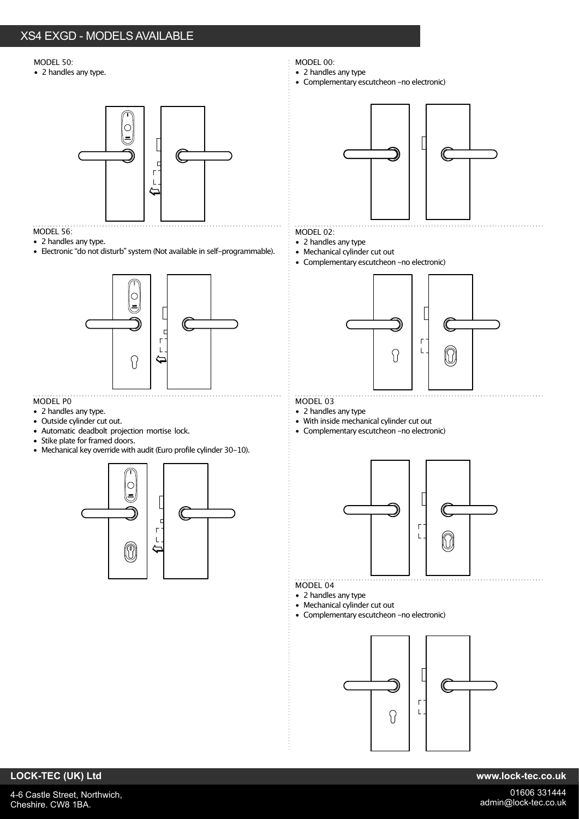#### MODEL 50:

• 2 handles any type.



## MODEL 56:

- 2 handles any type.
- Electronic "do not disturb" system (Not available in self-programmable).



## MODEL P0

- 2 handles any type.
- Outside cylinder cut out.
- Automatic deadbolt projection mortise lock.
- Stike plate for framed doors.
- Mechanical key override with audit (Euro profile cylinder 30-10).



- MODEL 00:
- 2 handles any type
- Complementary escutcheon -no electronic)



## MODEL 02:

- 2 handles any type
- Mechanical cylinder cut out
- Complementary escutcheon -no electronic)



## MODEL 03

- 2 handles any type
- With inside mechanical cylinder cut out
- Complementary escutcheon -no electronic)



- MODEL 04
- 2 handles any type
- Mechanical cylinder cut out
- Complementary escutcheon -no electronic)



## **LOCK-TEC (UK) Ltd www.lock-tec.co.uk**

4-6 Castle Street, Northwich, Cheshire. CW8 1BA.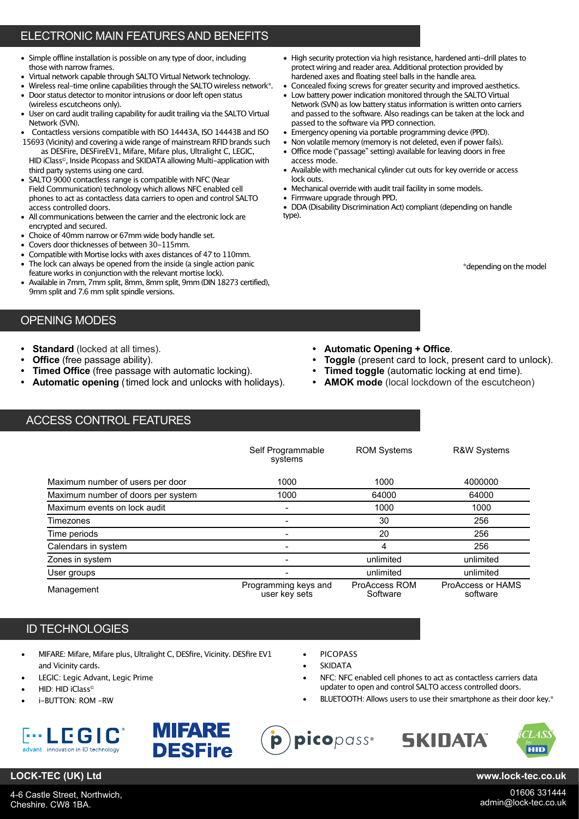# ELECTRONIC MAIN FEATURES AND BENEFITS

- Simple offline installation is possible on any type of door, including those with narrow frames.
- Virtual network capable through SALTO Virtual Network technology.
- Wireless real-time online capabilities through the SALTO wireless network\*.
- Door status detector to monitor intrusions or door left open status (wireless escutcheons only).
- User on card audit trailing capability for audit trailing via the SALTO Virtual Network (SVN).
- Contactless versions compatible with ISO 14443A, ISO 14443B and ISO 15693 (Vicinity) and covering a wide range of mainstream RFID brands such

as DESFire, DESFireEV1, Mifare, Mifare plus, Ultralight C, LEGIC, HID iClass<sup>®</sup>, Inside Picopass and SKIDATA allowing Multi-application with third party systems using one card.

- SALTO 9000 contactless range is compatible with NFC (Near Field Communication) technology which allows NFC enabled cell phones to act as contactless data carriers to open and control SALTO access controlled doors.
- All communications between the carrier and the electronic lock are encrypted and secured.
- Choice of 40mm narrow or 67mm wide body handle set.
- Covers door thicknesses of between 30-115mm.
- Compatible with Mortise locks with axes distances of 47 to 110mm.
- The lock can always be opened from the inside (a single action panic feature works in conjunction with the relevant mortise lock).
- Available in 7mm, 7mm split, 8mm, 8mm split, 9mm (DIN 18273 certified), 9mm split and 7.6 mm split spindle versions.

## OPENING MODES

- 
- 
- **Timed Office** (free passage with automatic locking).  **Timed toggle** (automatic locking at end time).
- **Automatic opening** (timed lock and unlocks with holidays).  **AMOK mode** (local lockdown of the escutcheon)
- High security protection via high resistance, hardened anti-drill plates to protect wiring and reader area. Additional protection provided by hardened axes and floating steel balls in the handle area.
- Concealed fixing screws for greater security and improved aesthetics.
- Low battery power indication monitored through the SALTO Virtual Network (SVN) as low battery status information is written onto carriers and passed to the software. Also readings can be taken at the lock and passed to the software via PPD connection.
- Emergency opening via portable programming device (PPD).
- Non volatile memory (memory is not deleted, even if power fails). • Office mode ("passage" setting) available for leaving doors in free access mode.
- Available with mechanical cylinder cut outs for key override or access lock outs.
- Mechanical override with audit trail facility in some models.
- Firmware upgrade through PPD.
- DDA (Disability Discrimination Act) compliant (depending on handle type).

\*depending on the model

- **Standard** (locked at all times).  **Automatic Opening + Office**.
- **Office** (free passage ability).  **Toggle** (present card to lock, present card to unlock).
	-
	-

# ACCESS CONTROL FEATURES

|                                    | Self Programmable<br>systems          | <b>ROM Systems</b>        | <b>R&amp;W Systems</b>        |
|------------------------------------|---------------------------------------|---------------------------|-------------------------------|
| Maximum number of users per door   | 1000                                  | 1000                      | 4000000                       |
| Maximum number of doors per system | 1000                                  | 64000                     | 64000                         |
| Maximum events on lock audit       | -                                     | 1000                      | 1000                          |
| Timezones                          |                                       | 30                        | 256                           |
| Time periods                       | $\overline{\phantom{0}}$              | 20                        | 256                           |
| Calendars in system                | -                                     | 4                         | 256                           |
| Zones in system                    | -                                     | unlimited                 | unlimited                     |
| User groups                        | $\overline{\phantom{0}}$              | unlimited                 | unlimited                     |
| Management                         | Programming keys and<br>user key sets | ProAccess ROM<br>Software | ProAccess or HAMS<br>software |

## ID TECHNOLOGIES

- MIFARE: Mifare, Mifare plus, Ultralight C, DESfire, Vicinity. DESfire EV1 and Vicinity cards.
- LEGIC: Legic Advant, Legic Prime
- HID: HID iClass©
- i-BUTTON: ROM -RW





**PICOPASS** 

- **SKIDATA**
- NFC: NFC enabled cell phones to act as contactless carriers data updater to open and control SALTO access controlled doors.
- BLUETOOTH: Allows users to use their smartphone as their door key.\*





## **LOCK-TEC (UK) Ltd www.lock-tec.co.uk**

4-6 Castle Street, Northwich, Cheshire. CW8 1BA.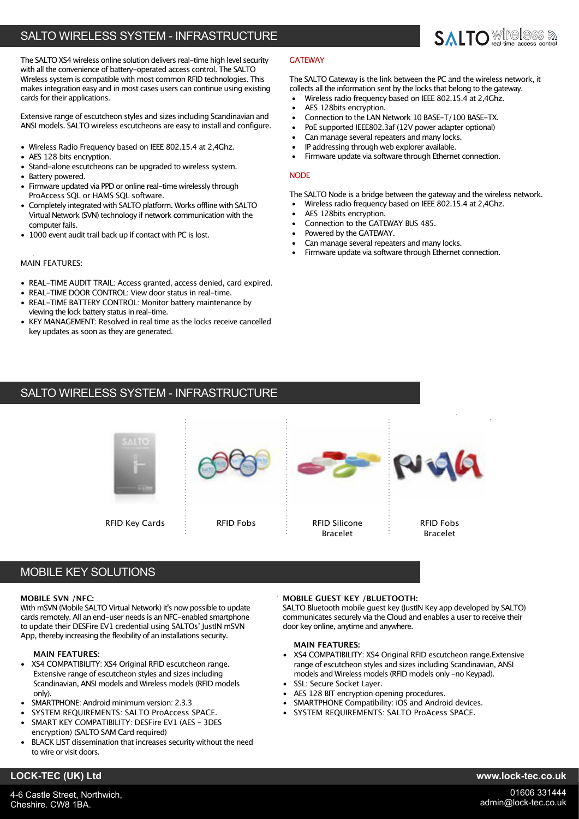# SALTO WIRELESS SYSTEM - INFRASTRUCTURE



Extensive range of escutcheon styles and sizes including Scandinavian and ANSI models. SALTO wireless escutcheons are easy to install and configure.

- Wireless Radio Frequency based on IEEE 802.15.4 at 2,4Ghz.
- AES 128 bits encryption.
- Stand-alone escutcheons can be upgraded to wireless system.
- Battery powered.
- Firmware updated via PPD or online real-time wirelessly through ProAccess SQL or HAMS SQL software.
- Completely integrated with SALTO platform. Works offline with SALTO Virtual Network (SVN) technology if network communication with the computer fails.
- 1000 event audit trail back up if contact with PC is lost.

### MAIN FEATURES:

- REAL-TIME AUDIT TRAIL: Access granted, access denied, card expired.
- REAL-TIME DOOR CONTROL: View door status in real-time.
- REAL-TIME BATTERY CONTROL: Monitor battery maintenance by viewing the lock battery status in real-time.
- KEY MANAGEMENT: Resolved in real time as the locks receive cancelled key updates as soon as they are generated.

### **GATEWAY**

The SALTO Gateway is the link between the PC and the wireless network, it collects all the information sent by the locks that belong to the gateway.

**SAITO** WILLESS &

- Wireless radio frequency based on IEEE 802.15.4 at 2,4Ghz.
- AES 128bits encryption.
- Connection to the LAN Network 10 BASE-T/100 BASE-TX.
- PoE supported IEEE802.3af (12V power adapter optional)
- Can manage several repeaters and many locks.
- IP addressing through web explorer available.
- Firmware update via software through Ethernet connection.

#### **NODE**

The SALTO Node is a bridge between the gateway and the wireless network.

- Wireless radio frequency based on IEEE 802.15.4 at 2,4Ghz.
- AES 128bits encryption.
- Connection to the GATEWAY BUS 485.
- Powered by the GATEWAY.
- Can manage several repeaters and many locks.
- Firmware update via software through Ethernet connection.

## SALTO WIRELESS SYSTEM - INFRASTRUCTURE



## MOBILE KEY SOLUTIONS

#### **MOBILE SVN /NFC:**

With mSVN (Mobile SALTO Virtual Network) it's now possible to update cards remotely. All an end-user needs is an NFC-enabled smartphone to update their DESFire EV1 credential using SALTOs' JustIN mSVN App, thereby increasing the flexibility of an installations security.

#### **MAIN FEATURES:**

- XS4 COMPATIBILITY: XS4 Original RFID escutcheon range. Extensive range of escutcheon styles and sizes including Scandinavian, ANSI models and Wireless models (RFID models only).
- SMARTPHONE: Android minimum version: 2.3.3
- SYSTEM REQUIREMENTS: SALTO ProAccess SPACE. SMART KEY COMPATIBILITY: DESFire EV1 (AES - 3DES
- encryption) (SALTO SAM Card required)
- BLACK LIST dissemination that increases security without the need to wire or visit doors.

#### **MOBILE GUEST KEY /BLUETOOTH:**

SALTO Bluetooth mobile guest key (JustIN Key app developed by SALTO) communicates securely via the Cloud and enables a user to receive their door key online, anytime and anywhere.

#### **MAIN FEATURES:**

- XS4 COMPATIBILITY: XS4 Original RFID escutcheon range.Extensive range of escutcheon styles and sizes including Scandinavian, ANSI models and Wireless models (RFID models only -no Keypad).
- SSL: Secure Socket Layer.
- AES 128 BIT encryption opening procedures.
- SMARTPHONE Compatibility: iOS and Android devices.
- SYSTEM REQUIREMENTS: SALTO ProAcess SPACE.

4-6 Castle Street, Northwich, Cheshire. CW8 1BA.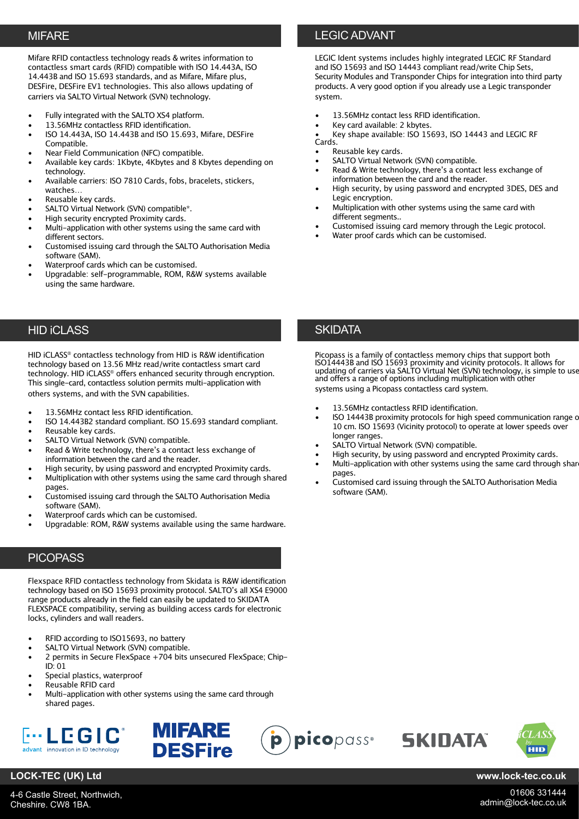Mifare RFID contactless technology reads & writes information to contactless smart cards (RFID) compatible with ISO 14.443A, ISO 14.443B and ISO 15.693 standards, and as Mifare, Mifare plus, DESFire, DESFire EV1 technologies. This also allows updating of carriers via SALTO Virtual Network (SVN) technology.

- Fully integrated with the SALTO XS4 platform.
- 13.56MHz contactless RFID identification.
- ISO 14.443A, ISO 14.443B and ISO 15.693, Mifare, DESFire Compatible.
- Near Field Communication (NFC) compatible.
- Available key cards: 1Kbyte, 4Kbytes and 8 Kbytes depending on technology.
- Available carriers: ISO 7810 Cards, fobs, bracelets, stickers, watches…
- Reusable key cards.
- SALTO Virtual Network (SVN) compatible\*.
- High security encrypted Proximity cards.
- Multi-application with other systems using the same card with different sectors.
- Customised issuing card through the SALTO Authorisation Media software (SAM).
- Waterproof cards which can be customised.
- Upgradable: self-programmable, ROM, R&W systems available using the same hardware.

## HID iCLASS

HID iCLASS® contactless technology from HID is R&W identification technology based on 13.56 MHz read/write contactless smart card technology. HID iCLASS® offers enhanced security through encryption. This single-card, contactless solution permits multi-application with others systems, and with the SVN capabilities.

- 13.56MHz contact less RFID identification.
- ISO 14.443B2 standard compliant. ISO 15.693 standard compliant.
- Reusable key cards.
- SALTO Virtual Network (SVN) compatible.
- Read & Write technology, there's a contact less exchange of information between the card and the reader.
- High security, by using password and encrypted Proximity cards.
- Multiplication with other systems using the same card through shared pages.
- Customised issuing card through the SALTO Authorisation Media software (SAM).
- Waterproof cards which can be customised.
- Upgradable: ROM, R&W systems available using the same hardware.

## **PICOPASS**

Flexspace RFID contactless technology from Skidata is R&W identification technology based on ISO 15693 proximity protocol. SALTO's all XS4 E9000 range products already in the field can easily be updated to SKIDATA FLEXSPACE compatibility, serving as building access cards for electronic locks, cylinders and wall readers.

- RFID according to ISO15693, no battery
- SALTO Virtual Network (SVN) compatible.
- 2 permits in Secure FlexSpace +704 bits unsecured FlexSpace; Chip-ID: 01
- Special plastics, waterproof
- Reusable RFID card
- Multi-application with other systems using the same card through shared pages.





# MIFARE LEGIC ADVANT

LEGIC Ident systems includes highly integrated LEGIC RF Standard and ISO 15693 and ISO 14443 compliant read/write Chip Sets, Security Modules and Transponder Chips for integration into third party products. A very good option if you already use a Legic transponder system.

- 13.56MHz contact less RFID identification.
- Key card available: 2 kbytes.

• Key shape available: ISO 15693, ISO 14443 and LEGIC RF Cards.

- Reusable key cards.
- SALTO Virtual Network (SVN) compatible.
- Read & Write technology, there's a contact less exchange of information between the card and the reader.
- High security, by using password and encrypted 3DES, DES and Legic encryption.
- Multiplication with other systems using the same card with different segments..
- Customised issuing card memory through the Legic protocol.
- Water proof cards which can be customised.

## **SKIDATA**

Picopass is a family of contactless memory chips that support both ISO14443B and ISO 15693 proximity and vicinity protocols. It allows for updating of carriers via SALTO Virtual Net (SVN) technology, is simple to use and offers a range of options including multiplication with other systems using a Picopass contactless card system.

- 13.56MHz contactless RFID identification.
- ISO 14443B proximity protocols for high speed communication range of 10 cm. ISO 15693 (Vicinity protocol) to operate at lower speeds over longer ranges.
- SALTO Virtual Network (SVN) compatible.
- High security, by using password and encrypted Proximity cards.
- Multi-application with other systems using the same card through share pages.

**SKINATA** 

• Customised card issuing through the SALTO Authorisation Media software (SAM).





## **LOCK-TEC (UK) Ltd www.lock-tec.co.uk**

01606 331444 admin@lock-tec.co.uk

4-6 Castle Street, Northwich, Cheshire. CW8 1BA.